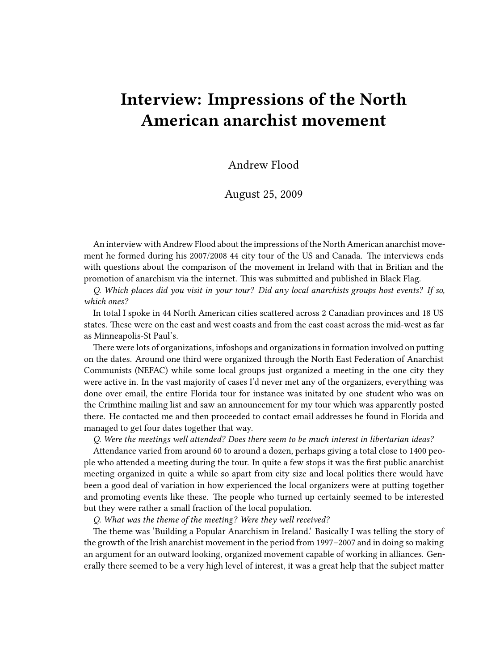# **Interview: Impressions of the North American anarchist movement**

Andrew Flood

August 25, 2009

An interview with Andrew Flood about the impressions of the North American anarchist movement he formed during his 2007/2008 44 city tour of the US and Canada. The interviews ends with questions about the comparison of the movement in Ireland with that in Britian and the promotion of anarchism via the internet. This was submitted and published in Black Flag.

*Q. Which places did you visit in your tour? Did any local anarchists groups host events? If so, which ones?*

In total I spoke in 44 North American cities scattered across 2 Canadian provinces and 18 US states. These were on the east and west coasts and from the east coast across the mid-west as far as Minneapolis-St Paul's.

There were lots of organizations, infoshops and organizations in formation involved on putting on the dates. Around one third were organized through the North East Federation of Anarchist Communists (NEFAC) while some local groups just organized a meeting in the one city they were active in. In the vast majority of cases I'd never met any of the organizers, everything was done over email, the entire Florida tour for instance was initated by one student who was on the Crimthinc mailing list and saw an announcement for my tour which was apparently posted there. He contacted me and then proceeded to contact email addresses he found in Florida and managed to get four dates together that way.

*Q. Were the meetings well attended? Does there seem to be much interest in libertarian ideas?*

Attendance varied from around 60 to around a dozen, perhaps giving a total close to 1400 people who attended a meeting during the tour. In quite a few stops it was the first public anarchist meeting organized in quite a while so apart from city size and local politics there would have been a good deal of variation in how experienced the local organizers were at putting together and promoting events like these. The people who turned up certainly seemed to be interested but they were rather a small fraction of the local population.

*Q. What was the theme of the meeting? Were they well received?*

The theme was 'Building a Popular Anarchism in Ireland.' Basically I was telling the story of the growth of the Irish anarchist movement in the period from 1997–2007 and in doing so making an argument for an outward looking, organized movement capable of working in alliances. Generally there seemed to be a very high level of interest, it was a great help that the subject matter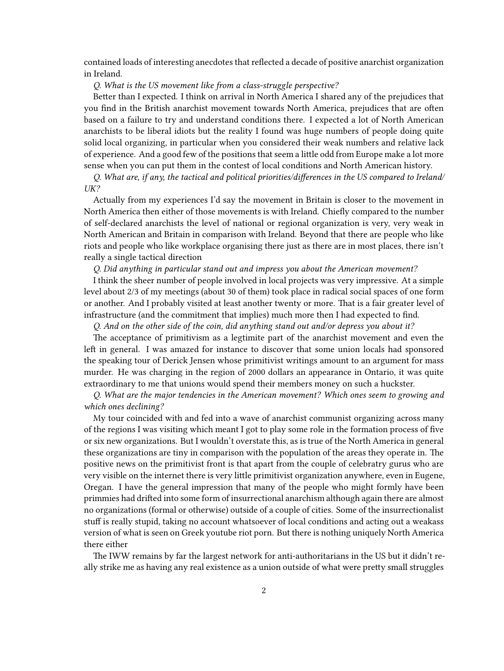contained loads of interesting anecdotes that reflected a decade of positive anarchist organization in Ireland.

#### *Q. What is the US movement like from a class-struggle perspective?*

Better than I expected. I think on arrival in North America I shared any of the prejudices that you find in the British anarchist movement towards North America, prejudices that are often based on a failure to try and understand conditions there. I expected a lot of North American anarchists to be liberal idiots but the reality I found was huge numbers of people doing quite solid local organizing, in particular when you considered their weak numbers and relative lack of experience. And a good few of the positions that seem a little odd from Europe make a lot more sense when you can put them in the contest of local conditions and North American history.

*Q. What are, if any, the tactical and political priorities/differences in the US compared to Ireland/ UK?*

Actually from my experiences I'd say the movement in Britain is closer to the movement in North America then either of those movements is with Ireland. Chiefly compared to the number of self-declared anarchists the level of national or regional organization is very, very weak in North American and Britain in comparison with Ireland. Beyond that there are people who like riots and people who like workplace organising there just as there are in most places, there isn't really a single tactical direction

#### *Q. Did anything in particular stand out and impress you about the American movement?*

I think the sheer number of people involved in local projects was very impressive. At a simple level about 2/3 of my meetings (about 30 of them) took place in radical social spaces of one form or another. And I probably visited at least another twenty or more. That is a fair greater level of infrastructure (and the commitment that implies) much more then I had expected to find.

*Q. And on the other side of the coin, did anything stand out and/or depress you about it?*

The acceptance of primitivism as a legtimite part of the anarchist movement and even the left in general. I was amazed for instance to discover that some union locals had sponsored the speaking tour of Derick Jensen whose primitivist writings amount to an argument for mass murder. He was charging in the region of 2000 dollars an appearance in Ontario, it was quite extraordinary to me that unions would spend their members money on such a huckster.

*Q. What are the major tendencies in the American movement? Which ones seem to growing and which ones declining?*

My tour coincided with and fed into a wave of anarchist communist organizing across many of the regions I was visiting which meant I got to play some role in the formation process of five or six new organizations. But I wouldn't overstate this, as is true of the North America in general these organizations are tiny in comparison with the population of the areas they operate in. The positive news on the primitivist front is that apart from the couple of celebratry gurus who are very visible on the internet there is very little primitivist organization anywhere, even in Eugene, Oregan. I have the general impression that many of the people who might formly have been primmies had drifted into some form of insurrectional anarchism although again there are almost no organizations (formal or otherwise) outside of a couple of cities. Some of the insurrectionalist stuff is really stupid, taking no account whatsoever of local conditions and acting out a weakass version of what is seen on Greek youtube riot porn. But there is nothing uniquely North America there either

The IWW remains by far the largest network for anti-authoritarians in the US but it didn't really strike me as having any real existence as a union outside of what were pretty small struggles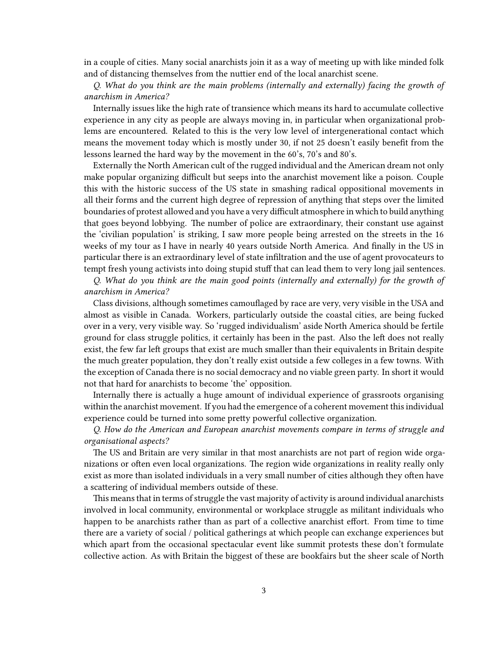in a couple of cities. Many social anarchists join it as a way of meeting up with like minded folk and of distancing themselves from the nuttier end of the local anarchist scene.

*Q. What do you think are the main problems (internally and externally) facing the growth of anarchism in America?*

Internally issues like the high rate of transience which means its hard to accumulate collective experience in any city as people are always moving in, in particular when organizational problems are encountered. Related to this is the very low level of intergenerational contact which means the movement today which is mostly under 30, if not 25 doesn't easily benefit from the lessons learned the hard way by the movement in the 60's, 70's and 80's.

Externally the North American cult of the rugged individual and the American dream not only make popular organizing difficult but seeps into the anarchist movement like a poison. Couple this with the historic success of the US state in smashing radical oppositional movements in all their forms and the current high degree of repression of anything that steps over the limited boundaries of protest allowed and you have a very difficult atmosphere in which to build anything that goes beyond lobbying. The number of police are extraordinary, their constant use against the 'civilian population' is striking, I saw more people being arrested on the streets in the 16 weeks of my tour as I have in nearly 40 years outside North America. And finally in the US in particular there is an extraordinary level of state infiltration and the use of agent provocateurs to tempt fresh young activists into doing stupid stuff that can lead them to very long jail sentences.

*Q. What do you think are the main good points (internally and externally) for the growth of anarchism in America?*

Class divisions, although sometimes camouflaged by race are very, very visible in the USA and almost as visible in Canada. Workers, particularly outside the coastal cities, are being fucked over in a very, very visible way. So 'rugged individualism' aside North America should be fertile ground for class struggle politics, it certainly has been in the past. Also the left does not really exist, the few far left groups that exist are much smaller than their equivalents in Britain despite the much greater population, they don't really exist outside a few colleges in a few towns. With the exception of Canada there is no social democracy and no viable green party. In short it would not that hard for anarchists to become 'the' opposition.

Internally there is actually a huge amount of individual experience of grassroots organising within the anarchist movement. If you had the emergence of a coherent movement this individual experience could be turned into some pretty powerful collective organization.

*Q. How do the American and European anarchist movements compare in terms of struggle and organisational aspects?*

The US and Britain are very similar in that most anarchists are not part of region wide organizations or often even local organizations. The region wide organizations in reality really only exist as more than isolated individuals in a very small number of cities although they often have a scattering of individual members outside of these.

This means that in terms of struggle the vast majority of activity is around individual anarchists involved in local community, environmental or workplace struggle as militant individuals who happen to be anarchists rather than as part of a collective anarchist effort. From time to time there are a variety of social / political gatherings at which people can exchange experiences but which apart from the occasional spectacular event like summit protests these don't formulate collective action. As with Britain the biggest of these are bookfairs but the sheer scale of North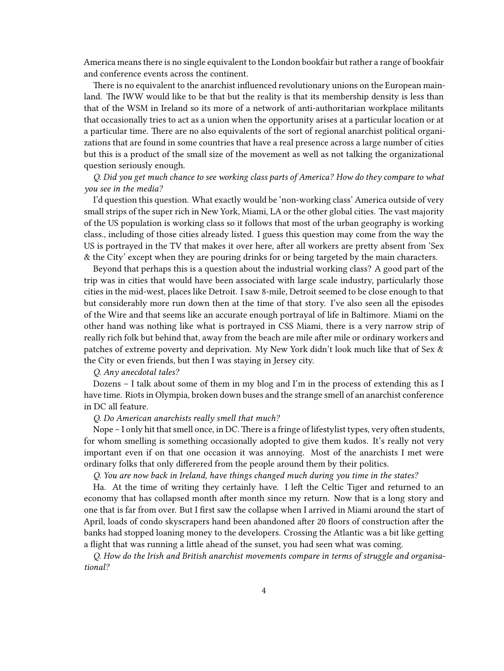America means there is no single equivalent to the London bookfair but rather a range of bookfair and conference events across the continent.

There is no equivalent to the anarchist influenced revolutionary unions on the European mainland. The IWW would like to be that but the reality is that its membership density is less than that of the WSM in Ireland so its more of a network of anti-authoritarian workplace militants that occasionally tries to act as a union when the opportunity arises at a particular location or at a particular time. There are no also equivalents of the sort of regional anarchist political organizations that are found in some countries that have a real presence across a large number of cities but this is a product of the small size of the movement as well as not talking the organizational question seriously enough.

*Q. Did you get much chance to see working class parts of America? How do they compare to what you see in the media?*

I'd question this question. What exactly would be 'non-working class' America outside of very small strips of the super rich in New York, Miami, LA or the other global cities. The vast majority of the US population is working class so it follows that most of the urban geography is working class., including of those cities already listed. I guess this question may come from the way the US is portrayed in the TV that makes it over here, after all workers are pretty absent from 'Sex & the City' except when they are pouring drinks for or being targeted by the main characters.

Beyond that perhaps this is a question about the industrial working class? A good part of the trip was in cities that would have been associated with large scale industry, particularly those cities in the mid-west, places like Detroit. I saw 8-mile, Detroit seemed to be close enough to that but considerably more run down then at the time of that story. I've also seen all the episodes of the Wire and that seems like an accurate enough portrayal of life in Baltimore. Miami on the other hand was nothing like what is portrayed in CSS Miami, there is a very narrow strip of really rich folk but behind that, away from the beach are mile after mile or ordinary workers and patches of extreme poverty and deprivation. My New York didn't look much like that of Sex & the City or even friends, but then I was staying in Jersey city.

*Q. Any anecdotal tales?*

Dozens – I talk about some of them in my blog and I'm in the process of extending this as I have time. Riots in Olympia, broken down buses and the strange smell of an anarchist conference in DC all feature.

*Q. Do American anarchists really smell that much?*

Nope – I only hit that smell once, in DC. There is a fringe of lifestylist types, very often students, for whom smelling is something occasionally adopted to give them kudos. It's really not very important even if on that one occasion it was annoying. Most of the anarchists I met were ordinary folks that only differered from the people around them by their politics.

*Q. You are now back in Ireland, have things changed much during you time in the states?*

Ha. At the time of writing they certainly have. I left the Celtic Tiger and returned to an economy that has collapsed month after month since my return. Now that is a long story and one that is far from over. But I first saw the collapse when I arrived in Miami around the start of April, loads of condo skyscrapers hand been abandoned after 20 floors of construction after the banks had stopped loaning money to the developers. Crossing the Atlantic was a bit like getting a flight that was running a little ahead of the sunset, you had seen what was coming.

*Q. How do the Irish and British anarchist movements compare in terms of struggle and organisational?*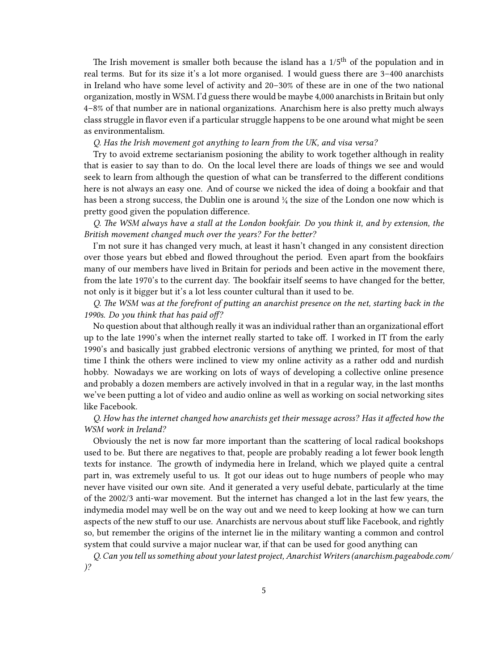The Irish movement is smaller both because the island has a 1/5<sup>th</sup> of the population and in real terms. But for its size it's a lot more organised. I would guess there are 3–400 anarchists in Ireland who have some level of activity and 20–30% of these are in one of the two national organization, mostly in WSM. I'd guess there would be maybe 4,000 anarchists in Britain but only 4–8% of that number are in national organizations. Anarchism here is also pretty much always class struggle in flavor even if a particular struggle happens to be one around what might be seen as environmentalism.

#### *Q. Has the Irish movement got anything to learn from the UK, and visa versa?*

Try to avoid extreme sectarianism posioning the ability to work together although in reality that is easier to say than to do. On the local level there are loads of things we see and would seek to learn from although the question of what can be transferred to the different conditions here is not always an easy one. And of course we nicked the idea of doing a bookfair and that has been a strong success, the Dublin one is around ¼ the size of the London one now which is pretty good given the population difference.

## *Q. The WSM always have a stall at the London bookfair. Do you think it, and by extension, the British movement changed much over the years? For the better?*

I'm not sure it has changed very much, at least it hasn't changed in any consistent direction over those years but ebbed and flowed throughout the period. Even apart from the bookfairs many of our members have lived in Britain for periods and been active in the movement there, from the late 1970's to the current day. The bookfair itself seems to have changed for the better, not only is it bigger but it's a lot less counter cultural than it used to be.

*Q. The WSM was at the forefront of putting an anarchist presence on the net, starting back in the 1990s. Do you think that has paid off?*

No question about that although really it was an individual rather than an organizational effort up to the late 1990's when the internet really started to take off. I worked in IT from the early 1990's and basically just grabbed electronic versions of anything we printed, for most of that time I think the others were inclined to view my online activity as a rather odd and nurdish hobby. Nowadays we are working on lots of ways of developing a collective online presence and probably a dozen members are actively involved in that in a regular way, in the last months we've been putting a lot of video and audio online as well as working on social networking sites like Facebook.

## *Q. How has the internet changed how anarchists get their message across? Has it affected how the WSM work in Ireland?*

Obviously the net is now far more important than the scattering of local radical bookshops used to be. But there are negatives to that, people are probably reading a lot fewer book length texts for instance. The growth of indymedia here in Ireland, which we played quite a central part in, was extremely useful to us. It got our ideas out to huge numbers of people who may never have visited our own site. And it generated a very useful debate, particularly at the time of the 2002/3 anti-war movement. But the internet has changed a lot in the last few years, the indymedia model may well be on the way out and we need to keep looking at how we can turn aspects of the new stuff to our use. Anarchists are nervous about stuff like Facebook, and rightly so, but remember the origins of the internet lie in the military wanting a common and control system that could survive a major nuclear war, if that can be used for good anything can

*Q. Can you tell us something about your latest project, Anarchist Writers [\(anarchism.pageabode.com](http://anarchism.pageabode.com)/ )?*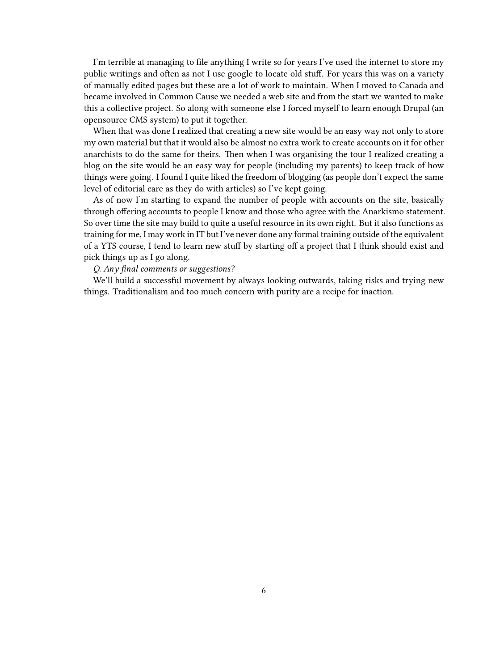I'm terrible at managing to file anything I write so for years I've used the internet to store my public writings and often as not I use google to locate old stuff. For years this was on a variety of manually edited pages but these are a lot of work to maintain. When I moved to Canada and became involved in Common Cause we needed a web site and from the start we wanted to make this a collective project. So along with someone else I forced myself to learn enough Drupal (an opensource CMS system) to put it together.

When that was done I realized that creating a new site would be an easy way not only to store my own material but that it would also be almost no extra work to create accounts on it for other anarchists to do the same for theirs. Then when I was organising the tour I realized creating a blog on the site would be an easy way for people (including my parents) to keep track of how things were going. I found I quite liked the freedom of blogging (as people don't expect the same level of editorial care as they do with articles) so I've kept going.

As of now I'm starting to expand the number of people with accounts on the site, basically through offering accounts to people I know and those who agree with the Anarkismo statement. So over time the site may build to quite a useful resource in its own right. But it also functions as training for me, I may work in IT but I've never done any formal training outside of the equivalent of a YTS course, I tend to learn new stuff by starting off a project that I think should exist and pick things up as I go along.

### *Q. Any final comments or suggestions?*

We'll build a successful movement by always looking outwards, taking risks and trying new things. Traditionalism and too much concern with purity are a recipe for inaction.